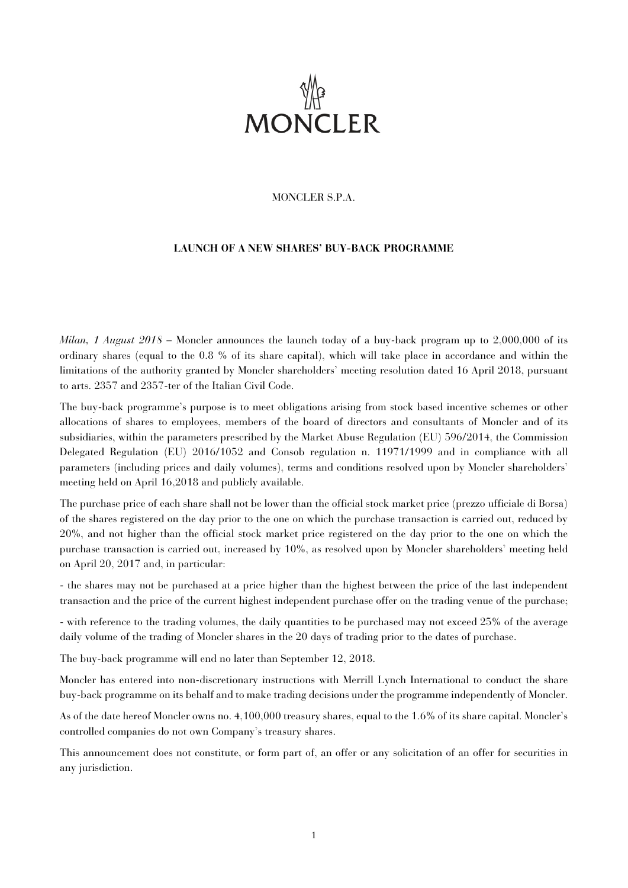

# MONCLER S.P.A.

# **LAUNCH OF A NEW SHARES' BUY-BACK PROGRAMME**

*Milan, 1 August 2018* – Moncler announces the launch today of a buy-back program up to 2,000,000 of its ordinary shares (equal to the 0.8 % of its share capital), which will take place in accordance and within the limitations of the authority granted by Moncler shareholders' meeting resolution dated 16 April 2018, pursuant to arts. 2357 and 2357-ter of the Italian Civil Code.

The buy-back programme's purpose is to meet obligations arising from stock based incentive schemes or other allocations of shares to employees, members of the board of directors and consultants of Moncler and of its subsidiaries, within the parameters prescribed by the Market Abuse Regulation (EU) 596/2014, the Commission Delegated Regulation (EU) 2016/1052 and Consob regulation n. 11971/1999 and in compliance with all parameters (including prices and daily volumes), terms and conditions resolved upon by Moncler shareholders' meeting held on April 16,2018 and publicly available.

The purchase price of each share shall not be lower than the official stock market price (prezzo ufficiale di Borsa) of the shares registered on the day prior to the one on which the purchase transaction is carried out, reduced by 20%, and not higher than the official stock market price registered on the day prior to the one on which the purchase transaction is carried out, increased by 10%, as resolved upon by Moncler shareholders' meeting held on April 20, 2017 and, in particular:

- the shares may not be purchased at a price higher than the highest between the price of the last independent transaction and the price of the current highest independent purchase offer on the trading venue of the purchase;

- with reference to the trading volumes, the daily quantities to be purchased may not exceed 25% of the average daily volume of the trading of Moncler shares in the 20 days of trading prior to the dates of purchase.

The buy-back programme will end no later than September 12, 2018.

Moncler has entered into non-discretionary instructions with Merrill Lynch International to conduct the share buy-back programme on its behalf and to make trading decisions under the programme independently of Moncler.

As of the date hereof Moncler owns no. 4,100,000 treasury shares, equal to the 1.6% of its share capital. Moncler's controlled companies do not own Company's treasury shares.

This announcement does not constitute, or form part of, an offer or any solicitation of an offer for securities in any jurisdiction.